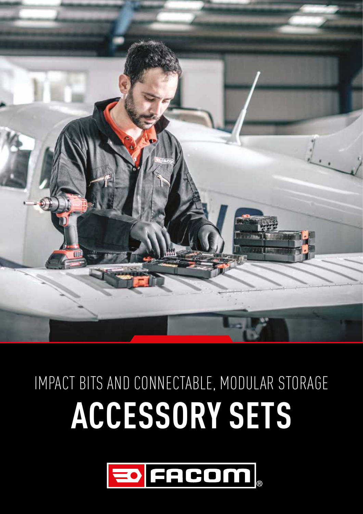

# **ACCESSORY SETS**  IMPACT BITS AND CONNECTABLE, MODULAR STORAGE

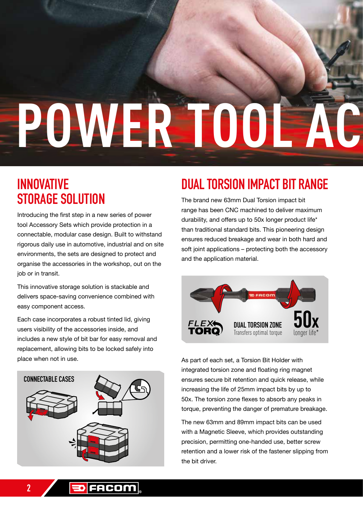# POWER TOO

#### **INNOVATIVE STORAGE SOLUTION**

Introducing the first step in a new series of power tool Accessory Sets which provide protection in a connectable, modular case design. Built to withstand rigorous daily use in automotive, industrial and on site environments, the sets are designed to protect and organise the accessories in the workshop, out on the job or in transit.

This innovative storage solution is stackable and delivers space-saving convenience combined with easy component access.

Each case incorporates a robust tinted lid, giving users visibility of the accessories inside, and includes a new style of bit bar for easy removal and replacement, allowing bits to be locked safely into place when not in use.



### **DUAL TORSION IMPACT BIT RANGE**

The brand new 63mm Dual Torsion impact bit range has been CNC machined to deliver maximum durability, and offers up to 50x longer product life\* than traditional standard bits. This pioneering design ensures reduced breakage and wear in both hard and soft joint applications – protecting both the accessory and the application material.



As part of each set, a Torsion Bit Holder with integrated torsion zone and floating ring magnet ensures secure bit retention and quick release, while increasing the life of 25mm impact bits by up to 50x. The torsion zone flexes to absorb any peaks in torque, preventing the danger of premature breakage.

The new 63mm and 89mm impact bits can be used with a Magnetic Sleeve, which provides outstanding precision, permitting one-handed use, better screw retention and a lower risk of the fastener slipping from the bit driver.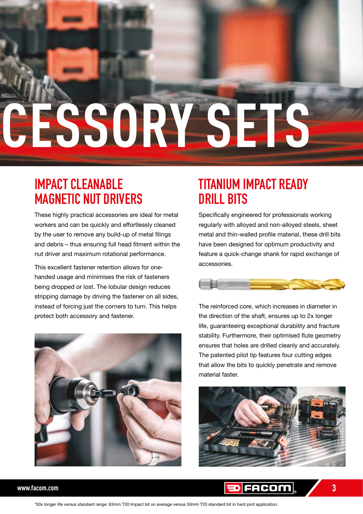# **POWER TOOL ACCESSORY SETS**

#### **IMPACT CLEANABLE MAGNETIC NUT DRIVERS**

These highly practical accessories are ideal for metal workers and can be quickly and effortlessly cleaned by the user to remove any build-up of metal filings and debris – thus ensuring full head fitment within the nut driver and maximum rotational performance.

This excellent fastener retention allows for onehanded usage and minimises the risk of fasteners being dropped or lost. The lobular design reduces stripping damage by driving the fastener on all sides, instead of forcing just the corners to turn. This helps protect both accessory and fastener.



#### **TITANIUM IMPACT READY DRILL BITS**

Specifically engineered for professionals working regularly with alloyed and non-alloyed steels, sheet metal and thin-walled profile material, these drill bits have been designed for optimum productivity and feature a quick-change shank for rapid exchange of accessories.



The reinforced core, which increases in diameter in the direction of the shaft, ensures up to 2x longer life, guaranteeing exceptional durability and fracture stability. Furthermore, their optimised flute geometry ensures that holes are drilled cleanly and accurately. The patented pilot tip features four cutting edges that allow the bits to quickly penetrate and remove material faster.





\*50x longer life versus standard range: 63mm T20 Impact bit on average versus 50mm T20 standard bit in hard joint application.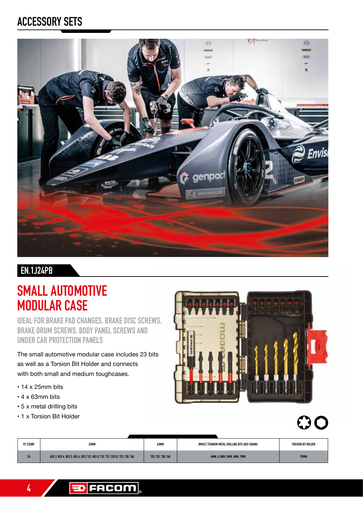#### **ACCESSORY SETS**



#### **EN.1J24PB**

#### **SMALL AUTOMOTIVE MODULAR CASE**

**IDEAL FOR BRAKE PAD CHANGES, BRAKE DISC SCREWS, BRAKE DRUM SCREWS, BODY PANEL SCREWS AND UNDER CAR PROTECTION PANELS**

The small automotive modular case includes 23 bits as well as a Torsion Bit Holder and connects with both small and medium toughcases.

- 14 x 25mm bits
- 4 x 63mm bits
- 5 x metal drilling bits
- 1 x Torsion Bit Holder





| PC COUNT              | 25MM                                                                         | 63MM               | IMPACT TITANIUM METAL DRILLING BITS (HEX SHANK) | TORSION BIT HOLDER |
|-----------------------|------------------------------------------------------------------------------|--------------------|-------------------------------------------------|--------------------|
| $\overline{a}$<br>-44 | HEX 3. HEX 4. HEX 5. HEX 6. HEX 7 X2. HEX 8. T10. T15. T20 X2. T25. T30. T40 | T20, T25, T30, T40 | 4MM, 4.2MM, 5MM, 6MM, 7MM                       | 92MM               |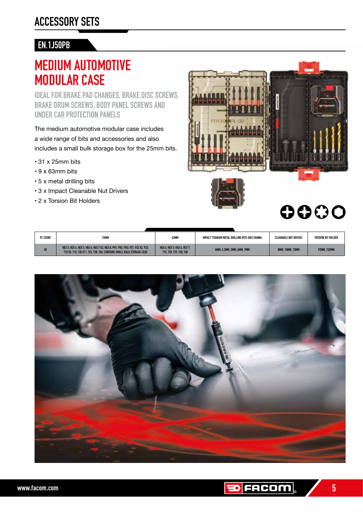#### **EN.1J50PB**

#### **MEDIUM AUTOMOTIVE MODULAR CASE**

**IDEAL FOR BRAKE PAD CHANGES, BRAKE DISC SCREWS, BRAKE DRUM SCREWS, BODY PANEL SCREWS AND UNDER CAR PROTECTION PANELS**

The medium automotive modular case includes a wide range of bits and accessories and also includes a small bulk storage box for the 25mm bits.

- 31 x 25mm bits
- 9 x 63mm bits
- 5 x metal drilling bits
- 3 x Impact Cleanable Nut Drivers
- 2 x Torsion Bit Holders



| PC COUNT | 25MM                                                                                                                                                   | 63MM                                                   | IMPACT TITANIUM METAL DRILLING BITS (HEX SHANK) | CLEANABLE NUT DRIVER:  | TORSION BIT HOLDER |
|----------|--------------------------------------------------------------------------------------------------------------------------------------------------------|--------------------------------------------------------|-------------------------------------------------|------------------------|--------------------|
| 50       | HEX 3. HEX 4. HEX 5. HEX 6. HEX 7 X2. HEX 8. PH1. PH2. PH3. PZ1. PZ2 X2. PZ3.<br>T10 X2, T15, T20 X11, T25, T30, T40, CONTAINS SMALL BULK STORAGE CASE | HEX 4. HEX 5. HEX 6. HEX 7.<br>T15, T20, T25, T30, T40 | 4MM. 4.2MM. 5MM. 6MM. 7MM                       | <b>8MM, 10MM, 13MM</b> | <b>92MM. 152MM</b> |

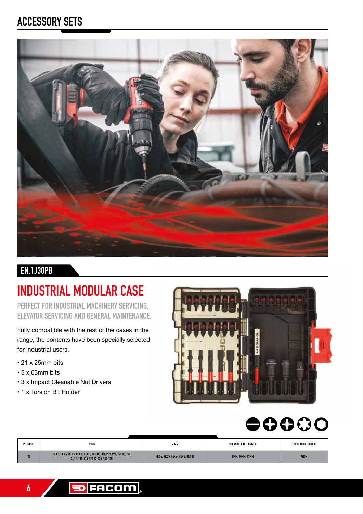#### **ACCESSORY SETS**



#### **EN.1J30PB**

#### **INDUSTRIAL MODULAR CASE**

**PERFECT FOR INDUSTRIAL MACHINERY SERVICING, ELEVATOR SERVICING AND GENERAL MAINTENANCE.**

Fully compatible with the rest of the cases in the range, the contents have been specially selected for industrial users.

- 21 x 25mm bits
- 5 x 63mm bits
- 3 x Impact Cleanable Nut Drivers
- 1 x Torsion Bit Holder



## $\bullet$ 0000

| PC COUNT | 25MM                                                                                                              | 63MM                               | CLEANABLE NUT DRIVER | TORSION BIT HOLDER |
|----------|-------------------------------------------------------------------------------------------------------------------|------------------------------------|----------------------|--------------------|
| 30       | HEX 3. HEX 4. HEX 5. HEX 6. HEX 8. HEX 10. PH1. PH2. PZ1. PZ2 X3. PZ3.<br>SL5.5, T10, T15, T20 X2, T25, T30, T40, | HEX 4. HEX 5. HEX 6. HEX 8. HEX 10 | 8MM, 10MM, 13MM      | 92MN               |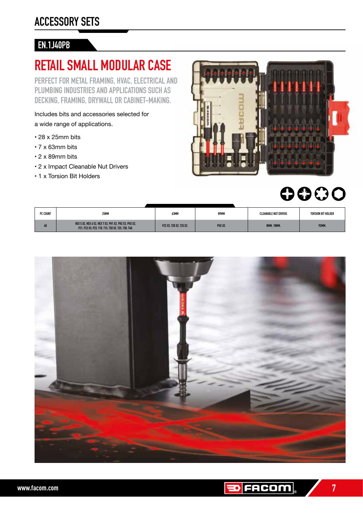#### **EN.1J40PB**

#### **RETAIL SMALL MODULAR CASE**

**PERFECT FOR METAL FRAMING, HVAC, ELECTRICAL AND PLUMBING INDUSTRIES AND APPLICATIONS SUCH AS DECKING, FRAMING, DRYWALL OR CABINET-MAKING.**

Includes bits and accessories selected for a wide range of applications.

- 28 x 25mm bits
- 7 x 63mm bits
- 2 x 89mm bits
- 2 x Impact Cleanable Nut Drivers
- 1 x Torsion Bit Holders



### 0000

| PC COUNT | <b>25MM</b>                                                                                                 | 63MM                    | 89MM           | <b>CLEANABLE NUT DRIVER:</b> | <b>TORSION BIT HOLDER</b> |
|----------|-------------------------------------------------------------------------------------------------------------|-------------------------|----------------|------------------------------|---------------------------|
| 4U       | HEX 5 X2. HEX 6 X2. HEX 7 X3. PH1 X2. PH2 X3. PH3 X2.<br>PZ1. PZ2 X5. PZ3. T10. T15. T20 X2. T25. T30. T40. | PZ2 X3. T20 X2. T25 X2. | <b>PH2 X2.</b> | 8MM, 10MM.                   | <b>92MM.</b>              |